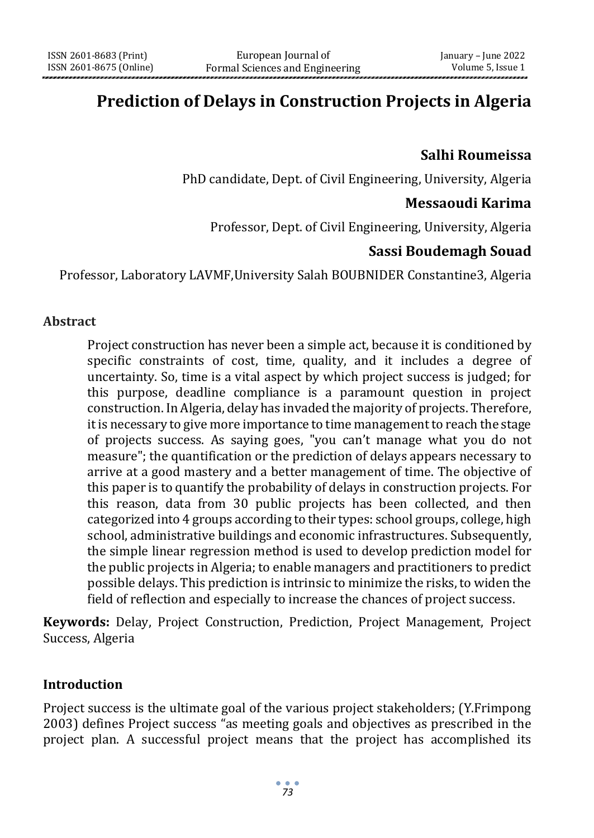# **Prediction of Delays in Construction Projects in Algeria**

## **Salhi Roumeissa**

PhD candidate, Dept. of Civil Engineering, University, Algeria

### **Messaoudi Karima**

Professor, Dept. of Civil Engineering, University, Algeria

# **Sassi Boudemagh Souad**

Professor, Laboratory LAVMF,University Salah BOUBNIDER Constantine3, Algeria

#### **Abstract**

Project construction has never been a simple act, because it is conditioned by specific constraints of cost, time, quality, and it includes a degree of uncertainty. So, time is a vital aspect by which project success is judged; for this purpose, deadline compliance is a paramount question in project construction. In Algeria, delay has invaded the majority of projects. Therefore, it is necessary to give more importance to time management to reach the stage of projects success. As saying goes, "you can't manage what you do not measure"; the quantification or the prediction of delays appears necessary to arrive at a good mastery and a better management of time. The objective of this paper is to quantify the probability of delays in construction projects. For this reason, data from 30 public projects has been collected, and then categorized into 4 groups according to their types: school groups, college, high school, administrative buildings and economic infrastructures. Subsequently, the simple linear regression method is used to develop prediction model for the public projects in Algeria; to enable managers and practitioners to predict possible delays. This prediction is intrinsic to minimize the risks, to widen the field of reflection and especially to increase the chances of project success.

**Keywords:** Delay, Project Construction, Prediction, Project Management, Project Success, Algeria

### **Introduction**

Project success is the ultimate goal of the various project stakeholders; (Y.Frimpong 2003) defines Project success "as meeting goals and objectives as prescribed in the project plan. A successful project means that the project has accomplished its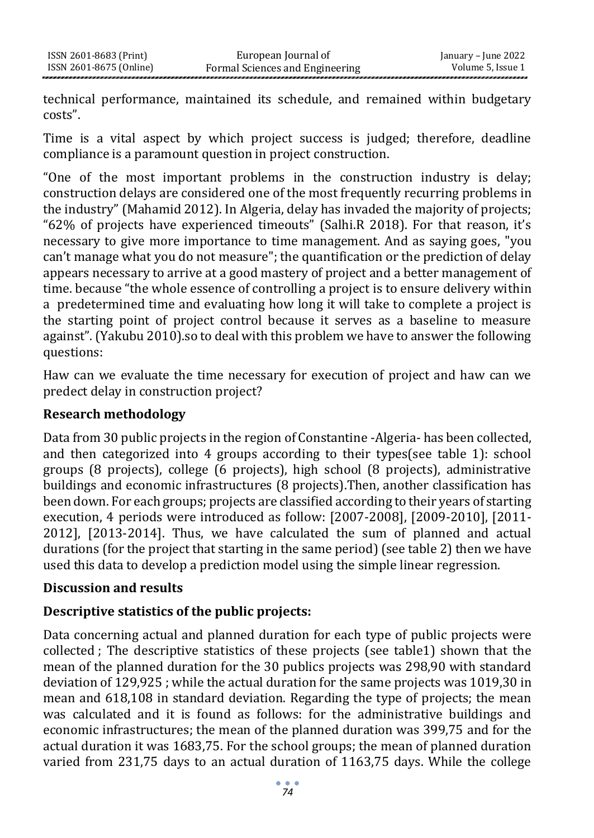technical performance, maintained its schedule, and remained within budgetary costs".

Time is a vital aspect by which project success is judged; therefore, deadline compliance is a paramount question in project construction.

"One of the most important problems in the construction industry is delay; construction delays are considered one of the most frequently recurring problems in the industry" (Mahamid 2012). In Algeria, delay has invaded the majority of projects; "62% of projects have experienced timeouts" (Salhi.R 2018). For that reason, it's necessary to give more importance to time management. And as saying goes, "you can't manage what you do not measure"; the quantification or the prediction of delay appears necessary to arrive at a good mastery of project and a better management of time. because "the whole essence of controlling a project is to ensure delivery within a predetermined time and evaluating how long it will take to complete a project is the starting point of project control because it serves as a baseline to measure against". (Yakubu 2010).so to deal with this problem we have to answer the following questions:

Haw can we evaluate the time necessary for execution of project and haw can we predect delay in construction project?

#### **Research methodology**

Data from 30 public projects in the region of Constantine -Algeria- has been collected, and then categorized into 4 groups according to their types(see table 1): school groups (8 projects), college (6 projects), high school (8 projects), administrative buildings and economic infrastructures (8 projects).Then, another classification has been down. For each groups; projects are classified according to their years of starting execution, 4 periods were introduced as follow: [2007-2008], [2009-2010], [2011- 2012], [2013-2014]. Thus, we have calculated the sum of planned and actual durations (for the project that starting in the same period) (see table 2) then we have used this data to develop a prediction model using the simple linear regression.

### **Discussion and results**

### **Descriptive statistics of the public projects:**

Data concerning actual and planned duration for each type of public projects were collected ; The descriptive statistics of these projects (see table1) shown that the mean of the planned duration for the 30 publics projects was 298,90 with standard deviation of 129,925 ; while the actual duration for the same projects was 1019,30 in mean and 618,108 in standard deviation. Regarding the type of projects; the mean was calculated and it is found as follows: for the administrative buildings and economic infrastructures; the mean of the planned duration was 399,75 and for the actual duration it was 1683,75. For the school groups; the mean of planned duration varied from 231,75 days to an actual duration of 1163,75 days. While the college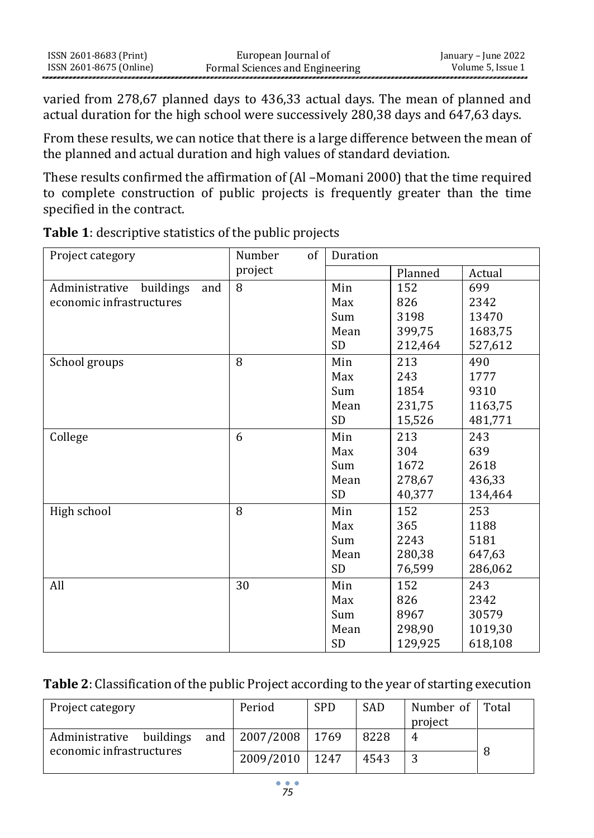| ISSN 2601-8683 (Print)  | European Journal of             | January – June 2022 |
|-------------------------|---------------------------------|---------------------|
| ISSN 2601-8675 (Online) | Formal Sciences and Engineering | Volume 5, Issue 1   |

varied from 278,67 planned days to 436,33 actual days. The mean of planned and actual duration for the high school were successively 280.38 days and 647.63 days.

From these results, we can notice that there is a large difference between the mean of the planned and actual duration and high values of standard deviation.

These results confirmed the affirmation of (Al –Momani 2000) that the time required to complete construction of public projects is frequently greater than the time specified in the contract.

| Project category                   | of<br>Number | Duration  |         |         |
|------------------------------------|--------------|-----------|---------|---------|
|                                    | project      |           | Planned | Actual  |
| Administrative<br>buildings<br>and | 8            | Min       | 152     | 699     |
| economic infrastructures           |              | Max       | 826     | 2342    |
|                                    |              | Sum       | 3198    | 13470   |
|                                    |              | Mean      | 399,75  | 1683,75 |
|                                    |              | <b>SD</b> | 212,464 | 527,612 |
| School groups                      | 8            | Min       | 213     | 490     |
|                                    |              | Max       | 243     | 1777    |
|                                    |              | Sum       | 1854    | 9310    |
|                                    |              | Mean      | 231,75  | 1163,75 |
|                                    |              | <b>SD</b> | 15,526  | 481,771 |
| College                            | 6            | Min       | 213     | 243     |
|                                    |              | Max       | 304     | 639     |
|                                    |              | Sum       | 1672    | 2618    |
|                                    |              | Mean      | 278,67  | 436,33  |
|                                    |              | SD        | 40,377  | 134,464 |
| High school                        | 8            | Min       | 152     | 253     |
|                                    |              | Max       | 365     | 1188    |
|                                    |              | Sum       | 2243    | 5181    |
|                                    |              | Mean      | 280,38  | 647,63  |
|                                    |              | <b>SD</b> | 76,599  | 286,062 |
| All                                | 30           | Min       | 152     | 243     |
|                                    |              | Max       | 826     | 2342    |
|                                    |              | Sum       | 8967    | 30579   |
|                                    |              | Mean      | 298,90  | 1019,30 |
|                                    |              | <b>SD</b> | 129,925 | 618,108 |

**Table 1**: descriptive statistics of the public projects

### **Table 2**: Classification of the public Project according to the year of starting execution

| Project category         | Period                 | <b>SPD</b> | SAD  | Number of Total |  |
|--------------------------|------------------------|------------|------|-----------------|--|
|                          |                        |            |      | project         |  |
| Administrative buildings | and   2007/2008   1769 |            | 8228 | 4               |  |
| economic infrastructures | 2009/2010   1247       |            | 4543 | đ               |  |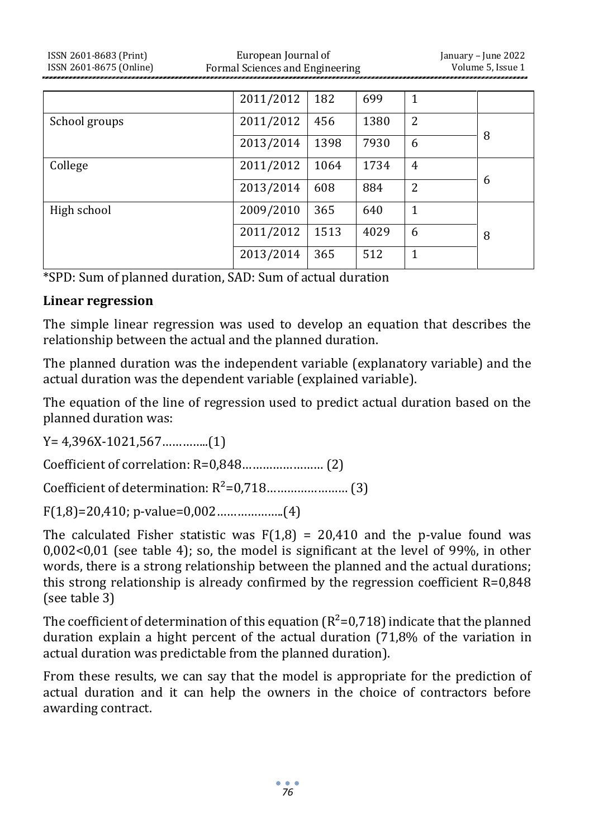| ISSN 2601-8683 (Print)<br>ISSN 2601-8675 (Online) |                   | European Journal of<br>Formal Sciences and Engineering |      |  |  |  |
|---------------------------------------------------|-------------------|--------------------------------------------------------|------|--|--|--|
|                                                   |                   |                                                        |      |  |  |  |
|                                                   | 2011/2012 182     |                                                        | 699  |  |  |  |
| School groupe                                     | $2011/2012$ $156$ |                                                        | 1200 |  |  |  |

| School groups | 2011/2012 | 456  | 1380 | 2 |   |
|---------------|-----------|------|------|---|---|
|               | 2013/2014 | 1398 | 7930 | 6 | 8 |
| College       | 2011/2012 | 1064 | 1734 | 4 |   |
|               | 2013/2014 | 608  | 884  | 2 | 6 |
| High school   | 2009/2010 | 365  | 640  | 1 |   |
|               | 2011/2012 | 1513 | 4029 | 6 | 8 |
|               | 2013/2014 | 365  | 512  | 1 |   |

\*SPD: Sum of planned duration, SAD: Sum of actual duration

#### **Linear regression**

The simple linear regression was used to develop an equation that describes the relationship between the actual and the planned duration.

The planned duration was the independent variable (explanatory variable) and the actual duration was the dependent variable (explained variable).

The equation of the line of regression used to predict actual duration based on the planned duration was:

Y= 4,396X-1021,567…………..(1)

Coefficient of correlation: R=0,848…………………… (2)

Coefficient of determination: R²=0,718…………………… (3)

F(1,8)=20,410; p-value=0,002………………..(4)

The calculated Fisher statistic was  $F(1,8) = 20,410$  and the p-value found was 0,002<0,01 (see table 4); so, the model is significant at the level of 99%, in other words, there is a strong relationship between the planned and the actual durations; this strong relationship is already confirmed by the regression coefficient  $R=0.848$ (see table 3)

The coefficient of determination of this equation  $(R^2=0.718)$  indicate that the planned duration explain a hight percent of the actual duration (71,8% of the variation in actual duration was predictable from the planned duration).

From these results, we can say that the model is appropriate for the prediction of actual duration and it can help the owners in the choice of contractors before awarding contract.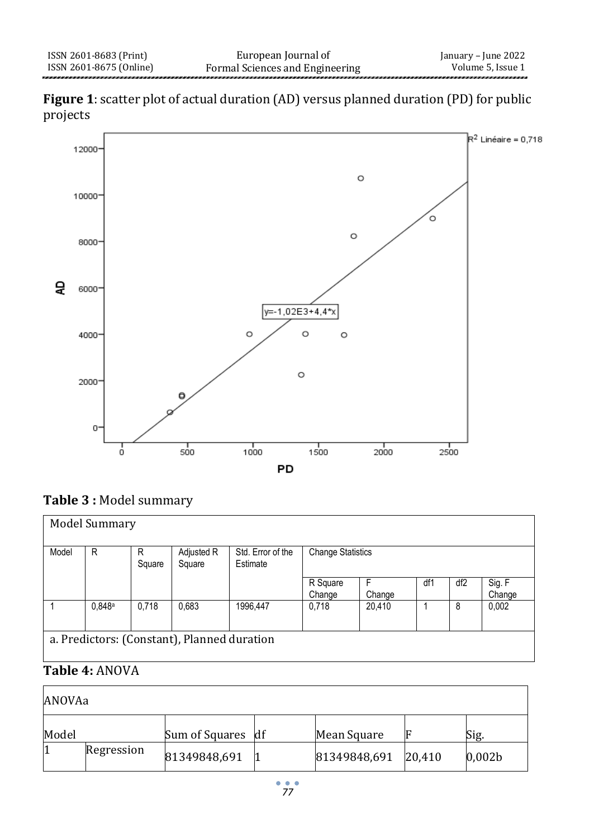



# **Table 3 :** Model summary

| <b>Model Summary</b> |                                             |             |                      |                               |                          |        |     |                 |                  |
|----------------------|---------------------------------------------|-------------|----------------------|-------------------------------|--------------------------|--------|-----|-----------------|------------------|
| Model                | R                                           | R<br>Square | Adjusted R<br>Square | Std. Error of the<br>Estimate | <b>Change Statistics</b> |        |     |                 |                  |
|                      |                                             |             |                      |                               | R Square<br>Change       | Change | df1 | df <sub>2</sub> | Sig. F<br>Change |
|                      | 0.848a                                      | 0,718       | 0,683                | 1996,447                      | 0,718                    | 20,410 |     | 8               | 0,002            |
|                      | a. Predictors: (Constant), Planned duration |             |                      |                               |                          |        |     |                 |                  |

# **Table 4:** ANOVA

| ANOVAa |            |                   |  |              |        |                    |  |
|--------|------------|-------------------|--|--------------|--------|--------------------|--|
| Model  |            | Sum of Squares df |  | Mean Square  |        | Sig.               |  |
| 1      | Regression | 81349848,691      |  | 81349848,691 | 20,410 | 0,002 <sub>b</sub> |  |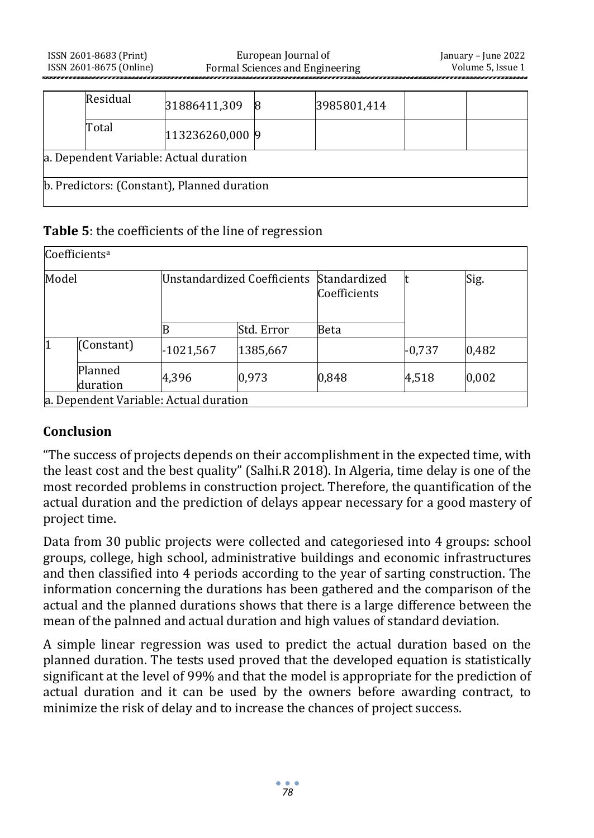|                                             | Residual | 31886411,309    |  | 3985801,414 |  |  |  |
|---------------------------------------------|----------|-----------------|--|-------------|--|--|--|
|                                             | Total    | 113236260,000 9 |  |             |  |  |  |
| a. Dependent Variable: Actual duration      |          |                 |  |             |  |  |  |
| b. Predictors: (Constant), Planned duration |          |                 |  |             |  |  |  |

#### **Table 5**: the coefficients of the line of regression

| Coefficients <sup>a</sup> |                                        |                                    |            |                              |          |       |  |  |
|---------------------------|----------------------------------------|------------------------------------|------------|------------------------------|----------|-------|--|--|
| Model                     |                                        | <b>Unstandardized Coefficients</b> |            | Standardized<br>Coefficients |          | Sig.  |  |  |
|                           |                                        |                                    | Std. Error | Beta                         |          |       |  |  |
|                           | (Constant)                             | -1021,567                          | 1385,667   |                              | $-0,737$ | 0,482 |  |  |
|                           | Planned<br>duration                    | 4,396                              | 0,973      | 0,848                        | 4,518    | 0,002 |  |  |
|                           | a. Dependent Variable: Actual duration |                                    |            |                              |          |       |  |  |

#### **Conclusion**

"The success of projects depends on their accomplishment in the expected time, with the least cost and the best quality" (Salhi.R 2018). In Algeria, time delay is one of the most recorded problems in construction project. Therefore, the quantification of the actual duration and the prediction of delays appear necessary for a good mastery of project time.

Data from 30 public projects were collected and categoriesed into 4 groups: school groups, college, high school, administrative buildings and economic infrastructures and then classified into 4 periods according to the year of sarting construction. The information concerning the durations has been gathered and the comparison of the actual and the planned durations shows that there is a large difference between the mean of the palnned and actual duration and high values of standard deviation.

A simple linear regression was used to predict the actual duration based on the planned duration. The tests used proved that the developed equation is statistically significant at the level of 99% and that the model is appropriate for the prediction of actual duration and it can be used by the owners before awarding contract, to minimize the risk of delay and to increase the chances of project success.